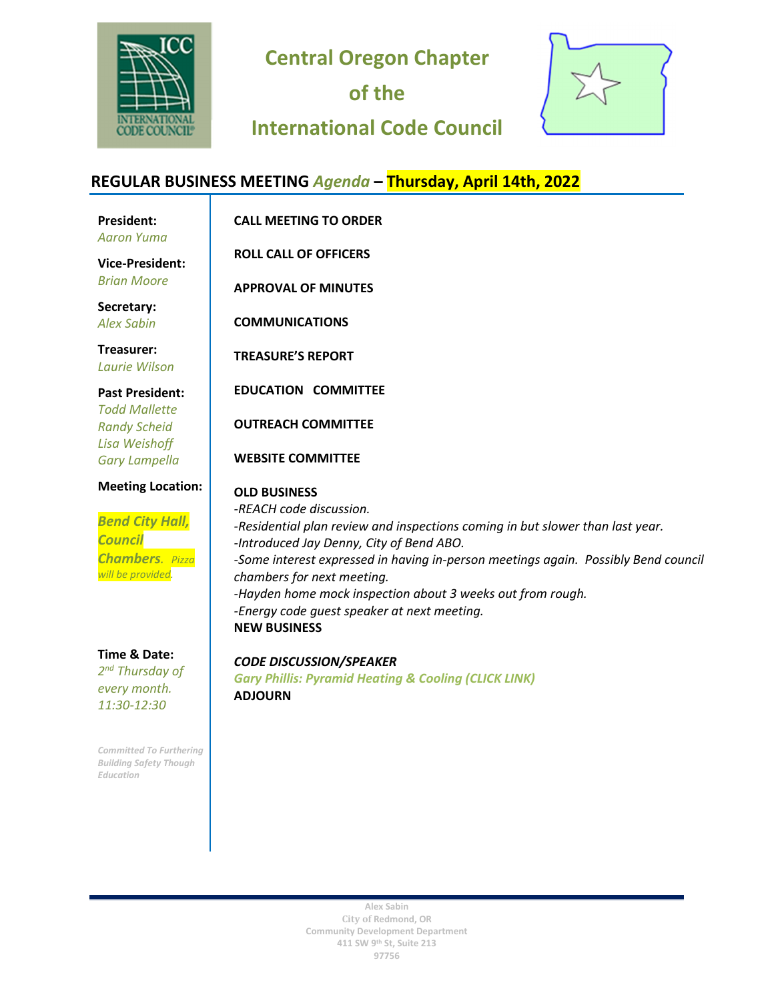

**Central Oregon Chapter** 

**of the** 

## **International Code Council**



## **REGULAR BUSINESS MEETING** *Agenda* **– Thursday, April 14th, 2022**

| <b>President:</b><br><b>Aaron Yuma</b>                                                                              | <b>CALL MEETING TO ORDER</b>                                                                                                                                                                                                                                                                                                                                                                                                        |
|---------------------------------------------------------------------------------------------------------------------|-------------------------------------------------------------------------------------------------------------------------------------------------------------------------------------------------------------------------------------------------------------------------------------------------------------------------------------------------------------------------------------------------------------------------------------|
| <b>Vice-President:</b><br><b>Brian Moore</b>                                                                        | <b>ROLL CALL OF OFFICERS</b><br><b>APPROVAL OF MINUTES</b>                                                                                                                                                                                                                                                                                                                                                                          |
| Secretary:<br><b>Alex Sabin</b>                                                                                     | <b>COMMUNICATIONS</b>                                                                                                                                                                                                                                                                                                                                                                                                               |
| Treasurer:<br>Laurie Wilson                                                                                         | <b>TREASURE'S REPORT</b>                                                                                                                                                                                                                                                                                                                                                                                                            |
| <b>Past President:</b><br><b>Todd Mallette</b><br><b>Randy Scheid</b><br>Lisa Weishoff<br><b>Gary Lampella</b>      | <b>EDUCATION COMMITTEE</b><br><b>OUTREACH COMMITTEE</b><br><b>WEBSITE COMMITTEE</b>                                                                                                                                                                                                                                                                                                                                                 |
| <b>Meeting Location:</b><br><b>Bend City Hall,</b><br><b>Council</b><br><b>Chambers.</b> Pizza<br>will be provided. | <b>OLD BUSINESS</b><br>-REACH code discussion.<br>-Residential plan review and inspections coming in but slower than last year.<br>-Introduced Jay Denny, City of Bend ABO.<br>-Some interest expressed in having in-person meetings again. Possibly Bend council<br>chambers for next meeting.<br>-Hayden home mock inspection about 3 weeks out from rough.<br>-Energy code quest speaker at next meeting.<br><b>NEW BUSINESS</b> |
| Time & Date:<br>2 <sup>nd</sup> Thursday of                                                                         | <b>CODE DISCUSSION/SPEAKER</b><br>Cary Dhillic: Duramid Hoating & Cooling (CLICK LINIK)                                                                                                                                                                                                                                                                                                                                             |

*2 every month. 11:30-12:30*

*Committed To Furthering Building Safety Though Education*

*Gary Phillis: Pyramid Heating & Cooling ([CLICK LINK\)](https://www.pyramidheating.com/about-us/)* **ADJOURN**